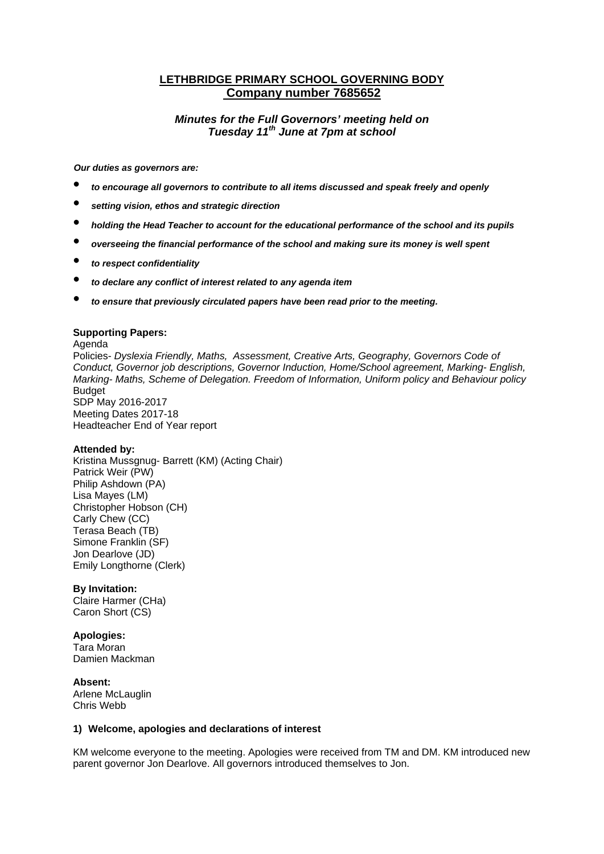# **LETHBRIDGE PRIMARY SCHOOL GOVERNING BODY Company number 7685652**

## *Minutes for the Full Governors' meeting held on Tuesday 11th June at 7pm at school*

*Our duties as governors are:* 

- *to encourage all governors to contribute to all items discussed and speak freely and openly*
- *setting vision, ethos and strategic direction*
- *holding the Head Teacher to account for the educational performance of the school and its pupils*
- *overseeing the financial performance of the school and making sure its money is well spent*
- *to respect confidentiality*
- *to declare any conflict of interest related to any agenda item*
- *to ensure that previously circulated papers have been read prior to the meeting.*

#### **Supporting Papers:**

Agenda Policies- *Dyslexia Friendly, Maths, Assessment, Creative Arts, Geography, Governors Code of Conduct, Governor job descriptions, Governor Induction, Home/School agreement, Marking- English, Marking- Maths, Scheme of Delegation. Freedom of Information, Uniform policy and Behaviour policy*  **Budget** SDP May 2016-2017 Meeting Dates 2017-18 Headteacher End of Year report

#### **Attended by:**

Kristina Mussgnug- Barrett (KM) (Acting Chair) Patrick Weir (PW) Philip Ashdown (PA) Lisa Mayes (LM) Christopher Hobson (CH) Carly Chew (CC) Terasa Beach (TB) Simone Franklin (SF) Jon Dearlove (JD) Emily Longthorne (Clerk)

#### **By Invitation:**

Claire Harmer (CHa) Caron Short (CS)

#### **Apologies:**

Tara Moran Damien Mackman

**Absent:**  Arlene McLauglin Chris Webb

#### **1) Welcome, apologies and declarations of interest**

KM welcome everyone to the meeting. Apologies were received from TM and DM. KM introduced new parent governor Jon Dearlove. All governors introduced themselves to Jon.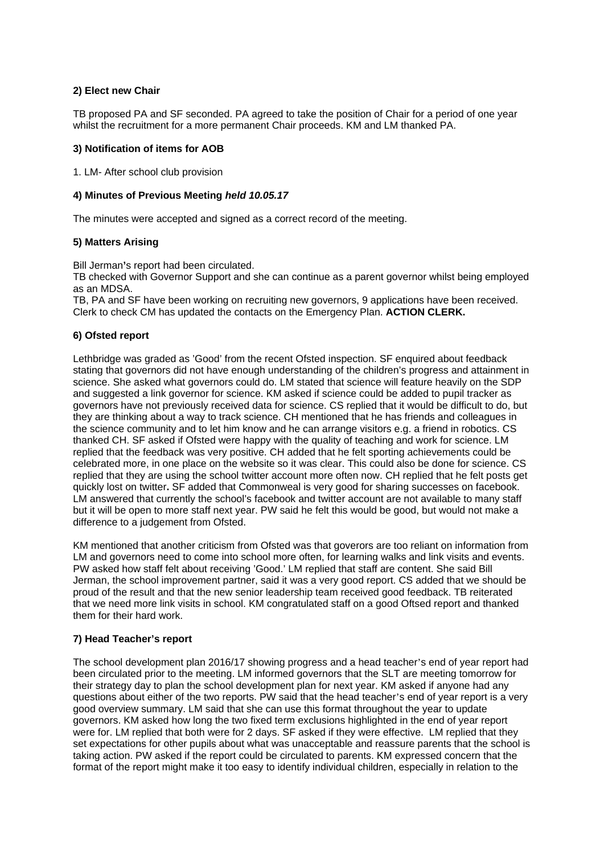## **2) Elect new Chair**

TB proposed PA and SF seconded. PA agreed to take the position of Chair for a period of one year whilst the recruitment for a more permanent Chair proceeds. KM and LM thanked PA.

#### **3) Notification of items for AOB**

1. LM- After school club provision

#### **4) Minutes of Previous Meeting** *held 10.05.17*

The minutes were accepted and signed as a correct record of the meeting.

## **5) Matters Arising**

Bill Jerman**'**s report had been circulated.

TB checked with Governor Support and she can continue as a parent governor whilst being employed as an MDSA.

TB, PA and SF have been working on recruiting new governors, 9 applications have been received. Clerk to check CM has updated the contacts on the Emergency Plan. **ACTION CLERK.**

#### **6) Ofsted report**

Lethbridge was graded as 'Good' from the recent Ofsted inspection. SF enquired about feedback stating that governors did not have enough understanding of the children's progress and attainment in science. She asked what governors could do. LM stated that science will feature heavily on the SDP and suggested a link governor for science. KM asked if science could be added to pupil tracker as governors have not previously received data for science. CS replied that it would be difficult to do, but they are thinking about a way to track science. CH mentioned that he has friends and colleagues in the science community and to let him know and he can arrange visitors e.g. a friend in robotics. CS thanked CH. SF asked if Ofsted were happy with the quality of teaching and work for science. LM replied that the feedback was very positive. CH added that he felt sporting achievements could be celebrated more, in one place on the website so it was clear. This could also be done for science. CS replied that they are using the school twitter account more often now. CH replied that he felt posts get quickly lost on twitter**.** SF added that Commonweal is very good for sharing successes on facebook. LM answered that currently the school's facebook and twitter account are not available to many staff but it will be open to more staff next year. PW said he felt this would be good, but would not make a difference to a judgement from Ofsted.

KM mentioned that another criticism from Ofsted was that goverors are too reliant on information from LM and governors need to come into school more often, for learning walks and link visits and events. PW asked how staff felt about receiving 'Good.' LM replied that staff are content. She said Bill Jerman, the school improvement partner, said it was a very good report. CS added that we should be proud of the result and that the new senior leadership team received good feedback. TB reiterated that we need more link visits in school. KM congratulated staff on a good Oftsed report and thanked them for their hard work.

## **7) Head Teacher's report**

The school development plan 2016/17 showing progress and a head teacher's end of year report had been circulated prior to the meeting. LM informed governors that the SLT are meeting tomorrow for their strategy day to plan the school development plan for next year. KM asked if anyone had any questions about either of the two reports. PW said that the head teacher's end of year report is a very good overview summary. LM said that she can use this format throughout the year to update governors. KM asked how long the two fixed term exclusions highlighted in the end of year report were for. LM replied that both were for 2 days. SF asked if they were effective. LM replied that they set expectations for other pupils about what was unacceptable and reassure parents that the school is taking action. PW asked if the report could be circulated to parents. KM expressed concern that the format of the report might make it too easy to identify individual children, especially in relation to the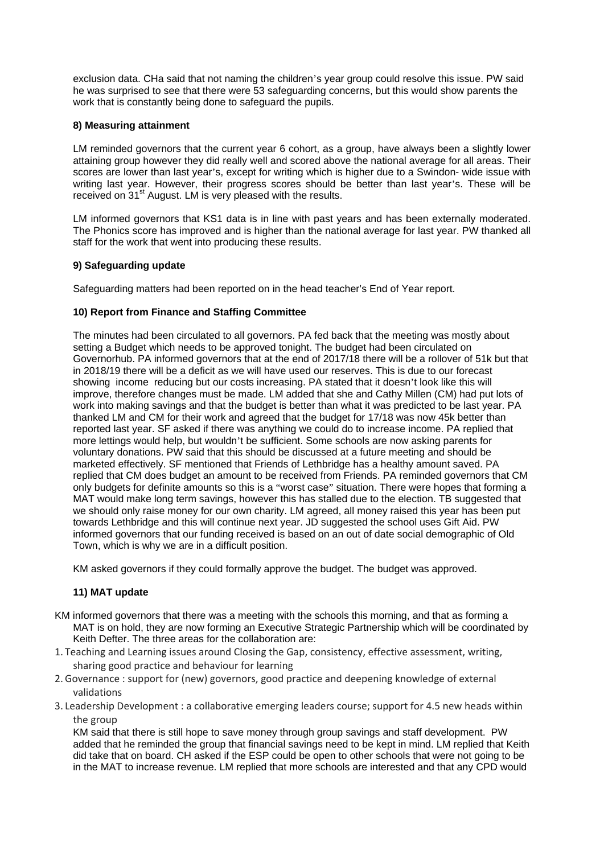exclusion data. CHa said that not naming the children's year group could resolve this issue. PW said he was surprised to see that there were 53 safeguarding concerns, but this would show parents the work that is constantly being done to safeguard the pupils.

## **8) Measuring attainment**

LM reminded governors that the current year 6 cohort, as a group, have always been a slightly lower attaining group however they did really well and scored above the national average for all areas. Their scores are lower than last year's, except for writing which is higher due to a Swindon- wide issue with writing last year. However, their progress scores should be better than last year's. These will be received on 31<sup>st</sup> August. LM is very pleased with the results.

LM informed governors that KS1 data is in line with past years and has been externally moderated. The Phonics score has improved and is higher than the national average for last year. PW thanked all staff for the work that went into producing these results.

## **9) Safeguarding update**

Safeguarding matters had been reported on in the head teacher's End of Year report.

## **10) Report from Finance and Staffing Committee**

The minutes had been circulated to all governors. PA fed back that the meeting was mostly about setting a Budget which needs to be approved tonight. The budget had been circulated on Governorhub. PA informed governors that at the end of 2017/18 there will be a rollover of 51k but that in 2018/19 there will be a deficit as we will have used our reserves. This is due to our forecast showing income reducing but our costs increasing. PA stated that it doesn't look like this will improve, therefore changes must be made. LM added that she and Cathy Millen (CM) had put lots of work into making savings and that the budget is better than what it was predicted to be last year. PA thanked LM and CM for their work and agreed that the budget for 17/18 was now 45k better than reported last year. SF asked if there was anything we could do to increase income. PA replied that more lettings would help, but wouldn't be sufficient. Some schools are now asking parents for voluntary donations. PW said that this should be discussed at a future meeting and should be marketed effectively. SF mentioned that Friends of Lethbridge has a healthy amount saved. PA replied that CM does budget an amount to be received from Friends. PA reminded governors that CM only budgets for definite amounts so this is a "worst case" situation. There were hopes that forming a MAT would make long term savings, however this has stalled due to the election. TB suggested that we should only raise money for our own charity. LM agreed, all money raised this year has been put towards Lethbridge and this will continue next year. JD suggested the school uses Gift Aid. PW informed governors that our funding received is based on an out of date social demographic of Old Town, which is why we are in a difficult position.

KM asked governors if they could formally approve the budget. The budget was approved.

## **11) MAT update**

- KM informed governors that there was a meeting with the schools this morning, and that as forming a MAT is on hold, they are now forming an Executive Strategic Partnership which will be coordinated by Keith Defter. The three areas for the collaboration are:
- 1. Teaching and Learning issues around Closing the Gap, consistency, effective assessment, writing, sharing good practice and behaviour for learning
- 2.Governance : support for (new) governors, good practice and deepening knowledge of external validations
- 3. Leadership Development : a collaborative emerging leaders course; support for 4.5 new heads within the group

KM said that there is still hope to save money through group savings and staff development. PW added that he reminded the group that financial savings need to be kept in mind. LM replied that Keith did take that on board. CH asked if the ESP could be open to other schools that were not going to be in the MAT to increase revenue. LM replied that more schools are interested and that any CPD would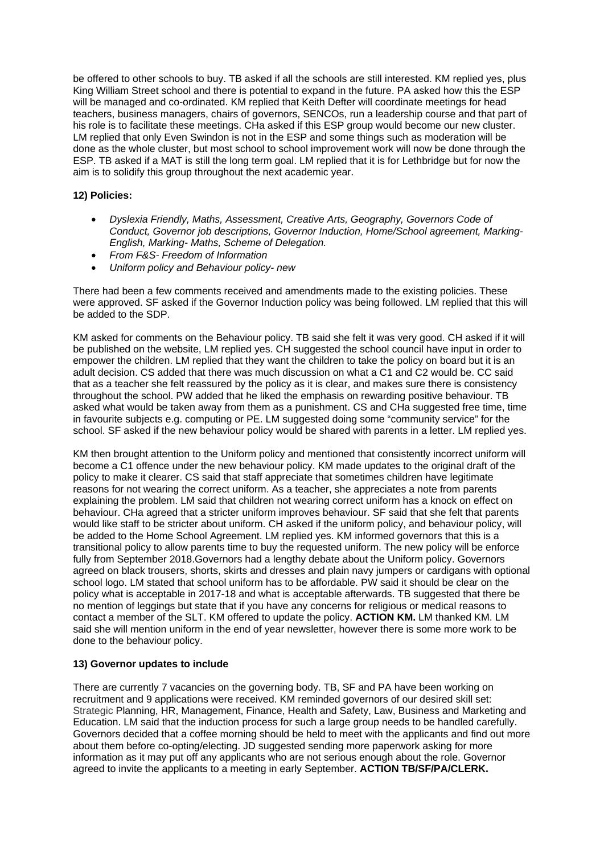be offered to other schools to buy. TB asked if all the schools are still interested. KM replied yes, plus King William Street school and there is potential to expand in the future. PA asked how this the ESP will be managed and co-ordinated. KM replied that Keith Defter will coordinate meetings for head teachers, business managers, chairs of governors, SENCOs, run a leadership course and that part of his role is to facilitate these meetings. CHa asked if this ESP group would become our new cluster. LM replied that only Even Swindon is not in the ESP and some things such as moderation will be done as the whole cluster, but most school to school improvement work will now be done through the ESP. TB asked if a MAT is still the long term goal. LM replied that it is for Lethbridge but for now the aim is to solidify this group throughout the next academic year.

## **12) Policies:**

- *Dyslexia Friendly, Maths, Assessment, Creative Arts, Geography, Governors Code of Conduct, Governor job descriptions, Governor Induction, Home/School agreement, Marking-English, Marking- Maths, Scheme of Delegation.*
- *From F&S- Freedom of Information*
- *Uniform policy and Behaviour policy- new*

There had been a few comments received and amendments made to the existing policies. These were approved. SF asked if the Governor Induction policy was being followed. LM replied that this will be added to the SDP.

KM asked for comments on the Behaviour policy. TB said she felt it was very good. CH asked if it will be published on the website, LM replied yes. CH suggested the school council have input in order to empower the children. LM replied that they want the children to take the policy on board but it is an adult decision. CS added that there was much discussion on what a C1 and C2 would be. CC said that as a teacher she felt reassured by the policy as it is clear, and makes sure there is consistency throughout the school. PW added that he liked the emphasis on rewarding positive behaviour. TB asked what would be taken away from them as a punishment. CS and CHa suggested free time, time in favourite subjects e.g. computing or PE. LM suggested doing some "community service" for the school. SF asked if the new behaviour policy would be shared with parents in a letter. LM replied yes.

KM then brought attention to the Uniform policy and mentioned that consistently incorrect uniform will become a C1 offence under the new behaviour policy. KM made updates to the original draft of the policy to make it clearer. CS said that staff appreciate that sometimes children have legitimate reasons for not wearing the correct uniform. As a teacher, she appreciates a note from parents explaining the problem. LM said that children not wearing correct uniform has a knock on effect on behaviour. CHa agreed that a stricter uniform improves behaviour. SF said that she felt that parents would like staff to be stricter about uniform. CH asked if the uniform policy, and behaviour policy, will be added to the Home School Agreement. LM replied yes. KM informed governors that this is a transitional policy to allow parents time to buy the requested uniform. The new policy will be enforce fully from September 2018.Governors had a lengthy debate about the Uniform policy. Governors agreed on black trousers, shorts, skirts and dresses and plain navy jumpers or cardigans with optional school logo. LM stated that school uniform has to be affordable. PW said it should be clear on the policy what is acceptable in 2017-18 and what is acceptable afterwards. TB suggested that there be no mention of leggings but state that if you have any concerns for religious or medical reasons to contact a member of the SLT. KM offered to update the policy. **ACTION KM.** LM thanked KM. LM said she will mention uniform in the end of year newsletter, however there is some more work to be done to the behaviour policy.

## **13) Governor updates to include**

There are currently 7 vacancies on the governing body. TB, SF and PA have been working on recruitment and 9 applications were received. KM reminded governors of our desired skill set: Strategic Planning, HR, Management, Finance, Health and Safety, Law, Business and Marketing and Education. LM said that the induction process for such a large group needs to be handled carefully. Governors decided that a coffee morning should be held to meet with the applicants and find out more about them before co-opting/electing. JD suggested sending more paperwork asking for more information as it may put off any applicants who are not serious enough about the role. Governor agreed to invite the applicants to a meeting in early September. **ACTION TB/SF/PA/CLERK.**